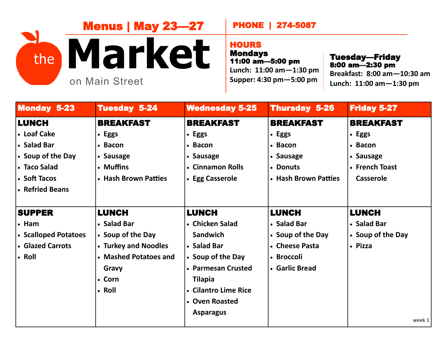

## PHONE | 274-5087

## **HOURS**

Mondays 11:00 am—5:00 pm **Lunch: 11:00 am—1:30 pm Supper: 4:30 pm—5:00 pm**

Tuesday—Friday<br>8:00 am—2:30 pm **Breakfast: 8:00 am—10:30 am Lunch: 11:00 am—1:30 pm**

| <b>Monday 5-23</b>   | <b>Tuesday 5-24</b>   | <b>Wednesday 5-25</b> | <b>Thursday 5-26</b> | <b>Friday 5-27</b> |
|----------------------|-----------------------|-----------------------|----------------------|--------------------|
| <b>LUNCH</b>         | <b>BREAKFAST</b>      | <b>BREAKFAST</b>      | <b>BREAKFAST</b>     | <b>BREAKFAST</b>   |
| <b>.</b> Loaf Cake   | • Eggs                | • Eggs                | • Eggs               | • Eggs             |
| • Salad Bar          | • Bacon               | • Bacon               | • Bacon              | • Bacon            |
| • Soup of the Day    | • Sausage             | • Sausage             | • Sausage            | • Sausage          |
| • Taco Salad         | • Muffins             | • Cinnamon Rolls      | • Donuts             | • French Toast     |
| • Soft Tacos         | • Hash Brown Patties  | • Egg Casserole       | • Hash Brown Patties | <b>Casserole</b>   |
| • Refried Beans      |                       |                       |                      |                    |
|                      |                       |                       |                      |                    |
| <b>SUPPER</b>        | <b>LUNCH</b>          | <b>LUNCH</b>          | <b>LUNCH</b>         | <b>LUNCH</b>       |
| $\cdot$ Ham          | • Salad Bar           | • Chicken Salad       | • Salad Bar          | • Salad Bar        |
| • Scalloped Potatoes | • Soup of the Day     | <b>Sandwich</b>       | • Soup of the Day    | • Soup of the Day  |
| • Glazed Carrots     | • Turkey and Noodles  | • Salad Bar           | • Cheese Pasta       | • Pizza            |
| $\cdot$ Roll         | • Mashed Potatoes and | • Soup of the Day     | • Broccoli           |                    |
|                      | Gravy                 | • Parmesan Crusted    | • Garlic Bread       |                    |
|                      | • Corn                | <b>Tilapia</b>        |                      |                    |
|                      | • Roll                | • Cilantro Lime Rice  |                      |                    |
|                      |                       | • Oven Roasted        |                      |                    |
|                      |                       | <b>Asparagus</b>      |                      |                    |
|                      |                       |                       |                      | week 1             |